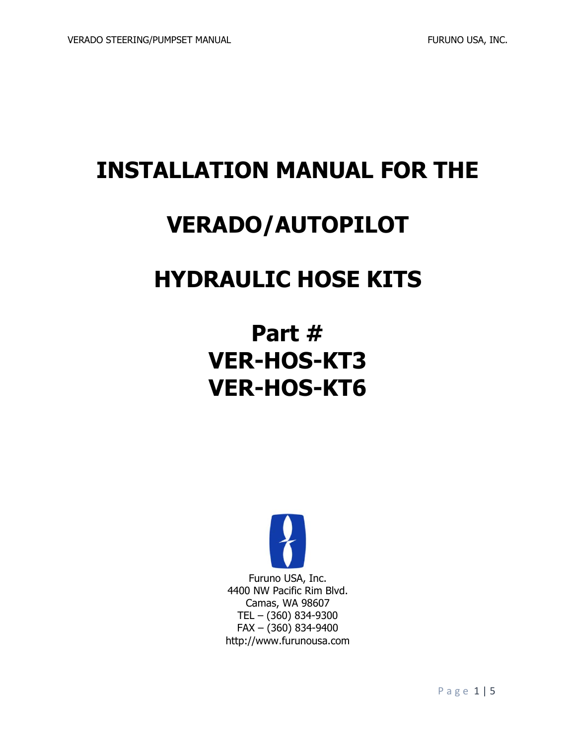# **INSTALLATION MANUAL FOR THE**

## **VERADO/AUTOPILOT**

## **HYDRAULIC HOSE KITS**

# **Part # VER-HOS-KT3 VER-HOS-KT6**

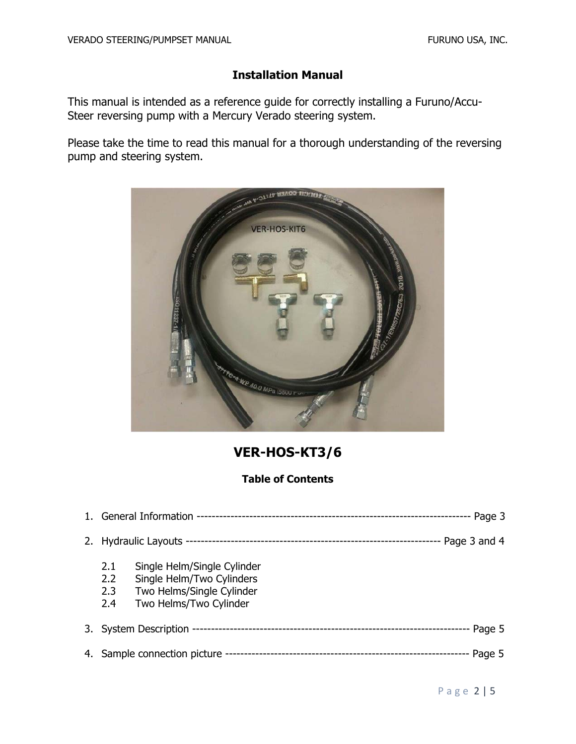### **Installation Manual**

This manual is intended as a reference guide for correctly installing a Furuno/Accu-Steer reversing pump with a Mercury Verado steering system.

Please take the time to read this manual for a thorough understanding of the reversing pump and steering system.



**VER-HOS-KT3/6** 

### **Table of Contents**

| Page 3                       |                                                                                                                 |              |
|------------------------------|-----------------------------------------------------------------------------------------------------------------|--------------|
|                              |                                                                                                                 | Page 3 and 4 |
| 2.1<br>2.2<br>2.3<br>2.4     | Single Helm/Single Cylinder<br>Single Helm/Two Cylinders<br>Two Helms/Single Cylinder<br>Two Helms/Two Cylinder |              |
|                              |                                                                                                                 | - Page 5     |
| 4. Sample connection picture |                                                                                                                 | Page 5       |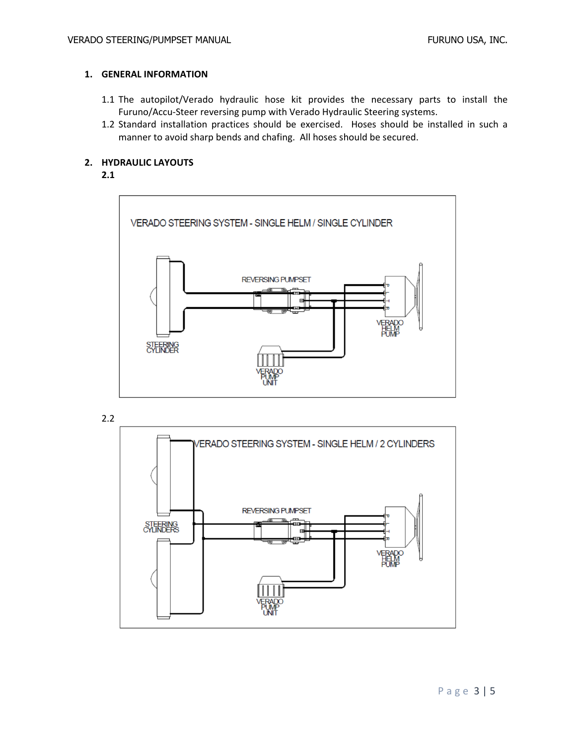#### **1. GENERAL INFORMATION**

- 1.1 The autopilot/Verado hydraulic hose kit provides the necessary parts to install the Furuno/Accu‐Steer reversing pump with Verado Hydraulic Steering systems.
- 1.2 Standard installation practices should be exercised. Hoses should be installed in such a manner to avoid sharp bends and chafing. All hoses should be secured.

#### **2. HYDRAULIC LAYOUTS**

#### **2.1**



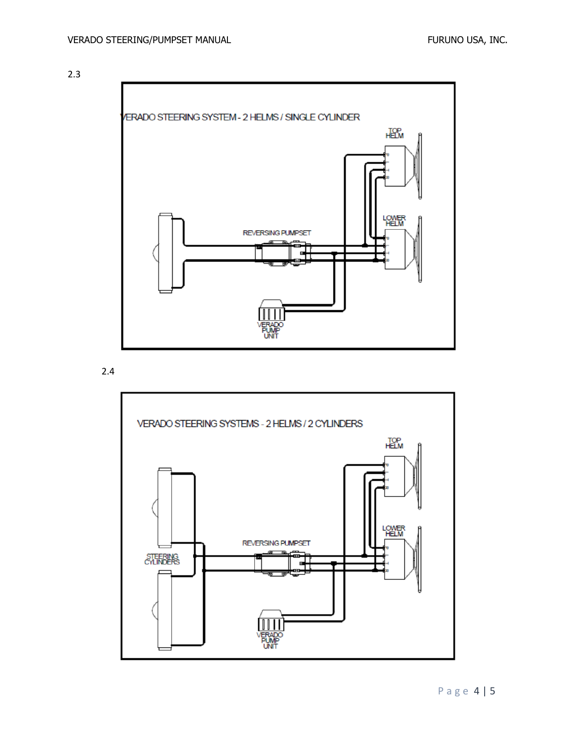2.3



2.4